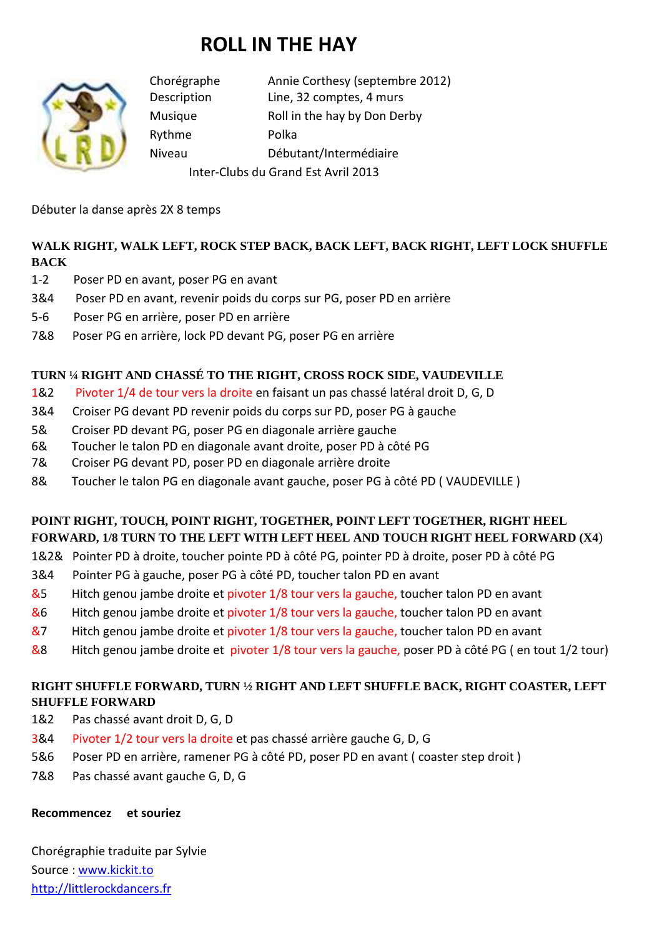# **ROLL IN THE HAY**



Chorégraphe Annie Corthesy (septembre 2012) Description Line, 32 comptes, 4 murs Musique Roll in the hay by Don Derby Rythme Polka Niveau Débutant/Intermédiaire Inter-Clubs du Grand Est Avril 2013

Débuter la danse après 2X 8 temps

## **WALK RIGHT, WALK LEFT, ROCK STEP BACK, BACK LEFT, BACK RIGHT, LEFT LOCK SHUFFLE BACK**

- 1-2 Poser PD en avant, poser PG en avant
- 3&4 Poser PD en avant, revenir poids du corps sur PG, poser PD en arrière
- 5-6 Poser PG en arrière, poser PD en arrière
- 7&8 Poser PG en arrière, lock PD devant PG, poser PG en arrière

## **TURN ¼ RIGHT AND CHASSÉ TO THE RIGHT, CROSS ROCK SIDE, VAUDEVILLE**

- 1&2 Pivoter 1/4 de tour vers la droite en faisant un pas chassé latéral droit D, G, D
- 3&4 Croiser PG devant PD revenir poids du corps sur PD, poser PG à gauche
- 5& Croiser PD devant PG, poser PG en diagonale arrière gauche
- 6& Toucher le talon PD en diagonale avant droite, poser PD à côté PG
- 7& Croiser PG devant PD, poser PD en diagonale arrière droite
- 8& Toucher le talon PG en diagonale avant gauche, poser PG à côté PD ( VAUDEVILLE )

## **POINT RIGHT, TOUCH, POINT RIGHT, TOGETHER, POINT LEFT TOGETHER, RIGHT HEEL FORWARD, 1/8 TURN TO THE LEFT WITH LEFT HEEL AND TOUCH RIGHT HEEL FORWARD (X4**)

- 1&2& Pointer PD à droite, toucher pointe PD à côté PG, pointer PD à droite, poser PD à côté PG
- 3&4 Pointer PG à gauche, poser PG à côté PD, toucher talon PD en avant
- &5 Hitch genou jambe droite et pivoter 1/8 tour vers la gauche, toucher talon PD en avant
- &6 Hitch genou jambe droite et pivoter 1/8 tour vers la gauche, toucher talon PD en avant
- &7 Hitch genou jambe droite et pivoter 1/8 tour vers la gauche, toucher talon PD en avant
- &8 Hitch genou jambe droite et pivoter 1/8 tour vers la gauche, poser PD à côté PG ( en tout 1/2 tour)

## **RIGHT SHUFFLE FORWARD, TURN ½ RIGHT AND LEFT SHUFFLE BACK, RIGHT COASTER, LEFT SHUFFLE FORWARD**

- 1&2 Pas chassé avant droit D, G, D
- 3&4 Pivoter 1/2 tour vers la droite et pas chassé arrière gauche G, D, G
- 5&6 Poser PD en arrière, ramener PG à côté PD, poser PD en avant ( coaster step droit )
- 7&8 Pas chassé avant gauche G, D, G

#### **Recommencez et souriez**

Chorégraphie traduite par Sylvie Source : www.kickit.to http://littlerockdancers.fr